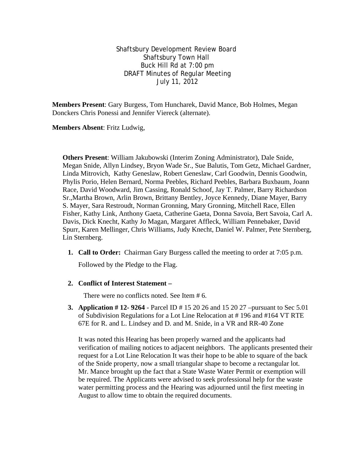Shaftsbury Development Review Board Shaftsbury Town Hall Buck Hill Rd at 7:00 pm DRAFT Minutes of Regular Meeting July 11, 2012

**Members Present**: Gary Burgess, Tom Huncharek, David Mance, Bob Holmes, Megan Donckers Chris Ponessi and Jennifer Viereck (alternate).

**Members Absent**: Fritz Ludwig,

**Others Present**: William Jakubowski (Interim Zoning Administrator), Dale Snide, Megan Snide, Allyn Lindsey, Bryon Wade Sr., Sue Balutis, Tom Getz, Michael Gardner, Linda Mitrovich, Kathy Geneslaw, Robert Geneslaw, Carl Goodwin, Dennis Goodwin, Phylis Porio, Helen Bernard, Norma Peebles, Richard Peebles, Barbara Buxbaum, Joann Race, David Woodward, Jim Cassing, Ronald Schoof, Jay T. Palmer, Barry Richardson Sr.,Martha Brown, Arlin Brown, Brittany Bentley, Joyce Kennedy, Diane Mayer, Barry S. Mayer, Sara Restroudt, Norman Gronning, Mary Gronning, Mitchell Race, Ellen Fisher, Kathy Link, Anthony Gaeta, Catherine Gaeta, Donna Savoia, Bert Savoia, Carl A. Davis, Dick Knecht, Kathy Jo Magan, Margaret Affleck, William Pennebaker, David Spurr, Karen Mellinger, Chris Williams, Judy Knecht, Daniel W. Palmer, Pete Sternberg, Lin Sternberg.

**1. Call to Order:** Chairman Gary Burgess called the meeting to order at 7:05 p.m.

Followed by the Pledge to the Flag.

## **2. Conflict of Interest Statement –**

There were no conflicts noted. See Item # 6.

**3. Application # 12- 9264** - Parcel ID # 15 20 26 and 15 20 27 –pursuant to Sec 5.01 of Subdivision Regulations for a Lot Line Relocation at # 196 and #164 VT RTE 67E for R. and L. Lindsey and D. and M. Snide, in a VR and RR-40 Zone

It was noted this Hearing has been properly warned and the applicants had verification of mailing notices to adjacent neighbors. The applicants presented their request for a Lot Line Relocation It was their hope to be able to square of the back of the Snide property, now a small triangular shape to become a rectangular lot. Mr. Mance brought up the fact that a State Waste Water Permit or exemption will be required. The Applicants were advised to seek professional help for the waste water permitting process and the Hearing was adjourned until the first meeting in August to allow time to obtain the required documents.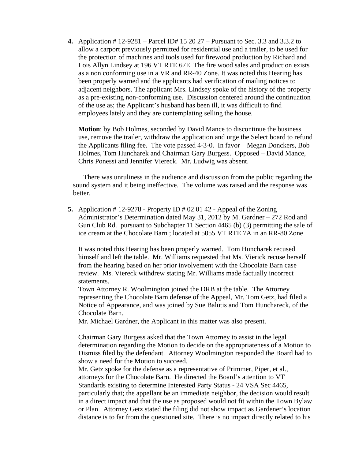**4.** Application # 12-9281 – Parcel ID# 15 20 27 – Pursuant to Sec. 3.3 and 3.3.2 to allow a carport previously permitted for residential use and a trailer, to be used for the protection of machines and tools used for firewood production by Richard and Lois Allyn Lindsey at 196 VT RTE 67E. The fire wood sales and production exists as a non conforming use in a VR and RR-40 Zone. It was noted this Hearing has been properly warned and the applicants had verification of mailing notices to adjacent neighbors. The applicant Mrs. Lindsey spoke of the history of the property as a pre-existing non-conforming use. Discussion centered around the continuation of the use as; the Applicant's husband has been ill, it was difficult to find employees lately and they are contemplating selling the house.

**Motion**: by Bob Holmes, seconded by David Mance to discontinue the business use, remove the trailer, withdraw the application and urge the Select board to refund the Applicants filing fee. The vote passed 4-3-0. In favor – Megan Donckers, Bob Holmes, Tom Huncharek and Chairman Gary Burgess. Opposed – David Mance, Chris Ponessi and Jennifer Viereck. Mr. Ludwig was absent.

There was unruliness in the audience and discussion from the public regarding the sound system and it being ineffective. The volume was raised and the response was better.

**5.** Application # 12-9278 - Property ID # 02 01 42 - Appeal of the Zoning Administrator's Determination dated May 31, 2012 by M. Gardner – 272 Rod and Gun Club Rd. pursuant to Subchapter 11 Section 4465 (b) (3) permitting the sale of ice cream at the Chocolate Barn ; located at 5055 VT RTE 7A in an RR-80 Zone

It was noted this Hearing has been properly warned. Tom Huncharek recused himself and left the table. Mr. Williams requested that Ms. Vierick recuse herself from the hearing based on her prior involvement with the Chocolate Barn case review. Ms. Viereck withdrew stating Mr. Williams made factually incorrect statements.

Town Attorney R. Woolmington joined the DRB at the table. The Attorney representing the Chocolate Barn defense of the Appeal, Mr. Tom Getz, had filed a Notice of Appearance, and was joined by Sue Balutis and Tom Hunchareck, of the Chocolate Barn.

Mr. Michael Gardner, the Applicant in this matter was also present.

Chairman Gary Burgess asked that the Town Attorney to assist in the legal determination regarding the Motion to decide on the appropriateness of a Motion to Dismiss filed by the defendant. Attorney Woolmington responded the Board had to show a need for the Motion to succeed.

Mr. Getz spoke for the defense as a representative of Primmer, Piper, et al., attorneys for the Chocolate Barn. He directed the Board's attention to VT Standards existing to determine Interested Party Status - 24 VSA Sec 4465, particularly that; the appellant be an immediate neighbor, the decision would result in a direct impact and that the use as proposed would not fit within the Town Bylaw or Plan. Attorney Getz stated the filing did not show impact as Gardener's location distance is to far from the questioned site. There is no impact directly related to his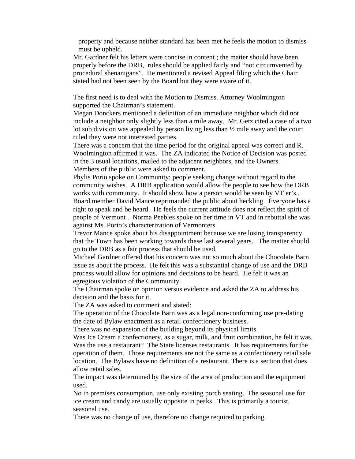property and because neither standard has been met he feels the motion to dismiss must be upheld.

Mr. Gardner felt his letters were concise in content ; the matter should have been properly before the DRB, rules should be applied fairly and "not circumvented by procedural shenanigans". He mentioned a revised Appeal filing which the Chair stated had not been seen by the Board but they were aware of it.

The first need is to deal with the Motion to Dismiss. Attorney Woolmington supported the Chairman's statement.

Megan Donckers mentioned a definition of an immediate neighbor which did not include a neighbor only slightly less than a mile away. Mr. Getz cited a case of a two lot sub division was appealed by person living less than ½ mile away and the court ruled they were not interested parties.

There was a concern that the time period for the original appeal was correct and R. Woolmington affirmed it was. The ZA indicated the Notice of Decision was posted in the 3 usual locations, mailed to the adjacent neighbors, and the Owners. Members of the public were asked to comment.

Phylis Porio spoke on Community; people seeking change without regard to the community wishes. A DRB application would allow the people to see how the DRB works with community. It should show how a person would be seen by VT er's.. Board member David Mance reprimanded the public about heckling. Everyone has a right to speak and be heard. He feels the current attitude does not reflect the spirit of people of Vermont . Norma Peebles spoke on her time in VT and in rebuttal she was against Ms. Porio's characterization of Vermonters.

Trevor Mance spoke about his disappointment because we are losing transparency that the Town has been working towards these last several years. The matter should go to the DRB as a fair process that should be used.

Michael Gardner offered that his concern was not so much about the Chocolate Barn issue as about the process. He felt this was a substantial change of use and the DRB process would allow for opinions and decisions to be heard. He felt it was an egregious violation of the Community.

The Chairman spoke on opinion versus evidence and asked the ZA to address his decision and the basis for it.

The ZA was asked to comment and stated:

The operation of the Chocolate Barn was as a legal non-conforming use pre-dating the date of Bylaw enactment as a retail confectionery business.

There was no expansion of the building beyond its physical limits.

Was Ice Cream a confectionery, as a sugar, milk, and fruit combination, he felt it was. Was the use a restaurant? The State licenses restaurants. It has requirements for the operation of them. Those requirements are not the same as a confectionery retail sale location. The Bylaws have no definition of a restaurant. There is a section that does allow retail sales.

The impact was determined by the size of the area of production and the equipment used.

No in premises consumption, use only existing porch seating. The seasonal use for ice cream and candy are usually opposite in peaks. This is primarily a tourist, seasonal use.

There was no change of use, therefore no change required to parking.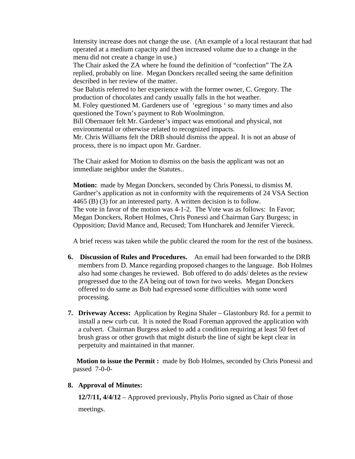Intensity increase does not change the use. (An example of a local restaurant that had operated at a medium capacity and then increased volume due to a change in the menu did not create a change in use.)

The Chair asked the ZA where he found the definition of "confection" The ZA replied, probably on line. Megan Donckers recalled seeing the same definition described in her review of the matter.

Sue Balutis referred to her experience with the former owner, C. Gregory. The production of chocolates and candy usually falls in the hot weather.

M. Foley questioned M. Gardeners use of 'egregious ' so many times and also questioned the Town's payment to Rob Woolmington.

Bill Obernauer felt Mr. Gardener's impact was emotional and physical, not environmental or otherwise related to recognized impacts.

Mr. Chris Williams felt the DRB should dismiss the appeal. It is not an abuse of process, there is no impact upon Mr. Gardner.

The Chair asked for Motion to dismiss on the basis the applicant was not an immediate neighbor under the Statutes..

**Motion:** made by Megan Donckers, seconded by Chris Ponessi, to dismiss M. Gardner's application as not in conformity with the requirements of 24 VSA Section 4465 (B) (3) for an interested party. A written decision is to follow. The vote in favor of the motion was 4-1-2. The Vote was as follows: In Favor; Megan Donckers, Robert Holmes, Chris Ponessi and Chairman Gary Burgess; in Opposition; David Mance and, Recused; Tom Huncharek and Jennifer Viereck.

A brief recess was taken while the public cleared the room for the rest of the business.

- **6. Discussion of Rules and Procedures.** An email had been forwarded to the DRB members from D. Mance regarding proposed changes to the language. Bob Holmes also had some changes he reviewed. Bob offered to do adds/ deletes as the review progressed due to the ZA being out of town for two weeks. Megan Donckers offered to do same as Bob had expressed some difficulties with some word processing.
- **7. Driveway Access:** Application by Regina Shaler Glastonbury Rd. for a permit to install a new curb cut. It is noted the Road Foreman approved the application with a culvert. Chairman Burgess asked to add a condition requiring at least 50 feet of brush grass or other growth that might disturb the line of sight be kept clear in perpetuity and maintained in that manner.

**Motion to issue the Permit :** made by Bob Holmes, seconded by Chris Ponessi and passed 7-0-0-

## **8. Approval of Minutes:**

**12/7/11, 4/4/12** – Approved previously, Phylis Porio signed as Chair of those

meetings.